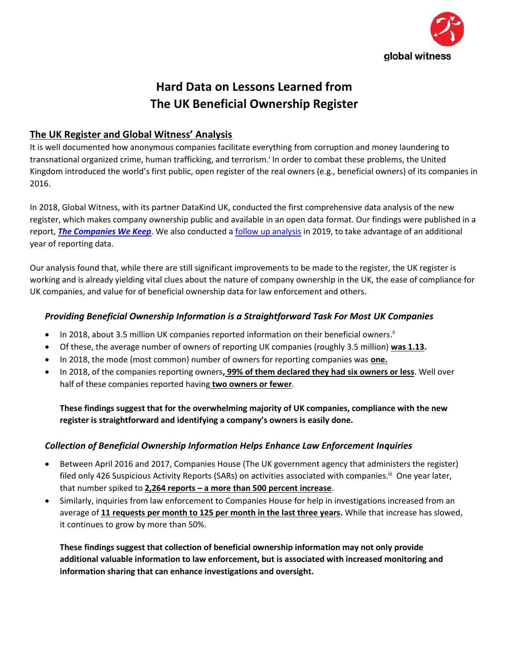

# **Hard Data on Lessons Learned from The UK Beneficial Ownership Register**

### **The UK Register and Global Witness' Analysis**

It is well documented how anonymous companies facilitate everything from corruption and money laundering to transnational organized crime, human trafficking, and terrorism.<sup>i</sup> In order to combat these problems, the United Kingdom introduced the world's first public, open register of the real owners (e.g., beneficial owners) of its companies in 2016.

In 2018, Global Witness, with its partner DataKind UK, conducted the first comprehensive data analysis of the new register, which makes company ownership public and available in an open data format. Our findings were published in a report, *[The Companies We Keep](https://www.globalwitness.org/en/campaigns/corruption-and-money-laundering/anonymous-company-owners/companies-we-keep/)*. We also conducted a [follow up analysis](https://www.globalwitness.org/en/campaigns/corruption-and-money-laundering/anonymous-company-owners/getting-uks-house-order/) in 2019, to take advantage of an additional year of reporting data.

Our analysis found that, while there are still significant improvements to be made to the register, the UK register is working and is already yielding vital clues about the nature of company ownership in the UK, the ease of compliance for UK companies, and value for of beneficial ownership data for law enforcement and others.

### *Providing Beneficial Ownership Information is a Straightforward Task For Most UK Companies*

- In 2018, about 3.5 million UK companies reported information on their beneficial owners.<sup>ii</sup>
- Of these, the average number of owners of reporting UK companies (roughly 3.5 million) **was 1.13.**
- In 2018, the mode (most common) number of owners for reporting companies was **one.**
- In 2018, of the companies reporting owners**, 99% of them declared they had six owners or less**. Well over half of these companies reported having **two owners or fewer**.

**These findings suggest that for the overwhelming majority of UK companies, compliance with the new register is straightforward and identifying a company's owners is easily done.** 

### *Collection of Beneficial Ownership Information Helps Enhance Law Enforcement Inquiries*

- Between April 2016 and 2017, Companies House (The UK government agency that administers the register) filed only 426 Suspicious Activity Reports (SARs) on activities associated with companies.<sup>iii</sup> One year later, that number spiked to **2,264 reports – a more than 500 percent increase**.
- Similarly, inquiries from law enforcement to Companies House for help in investigations increased from an average of **11 requests per month to 125 per month in the last three years.** While that increase has slowed, it continues to grow by more than 50%.

**These findings suggest that collection of beneficial ownership information may not only provide additional valuable information to law enforcement, but is associated with increased monitoring and information sharing that can enhance investigations and oversight.**